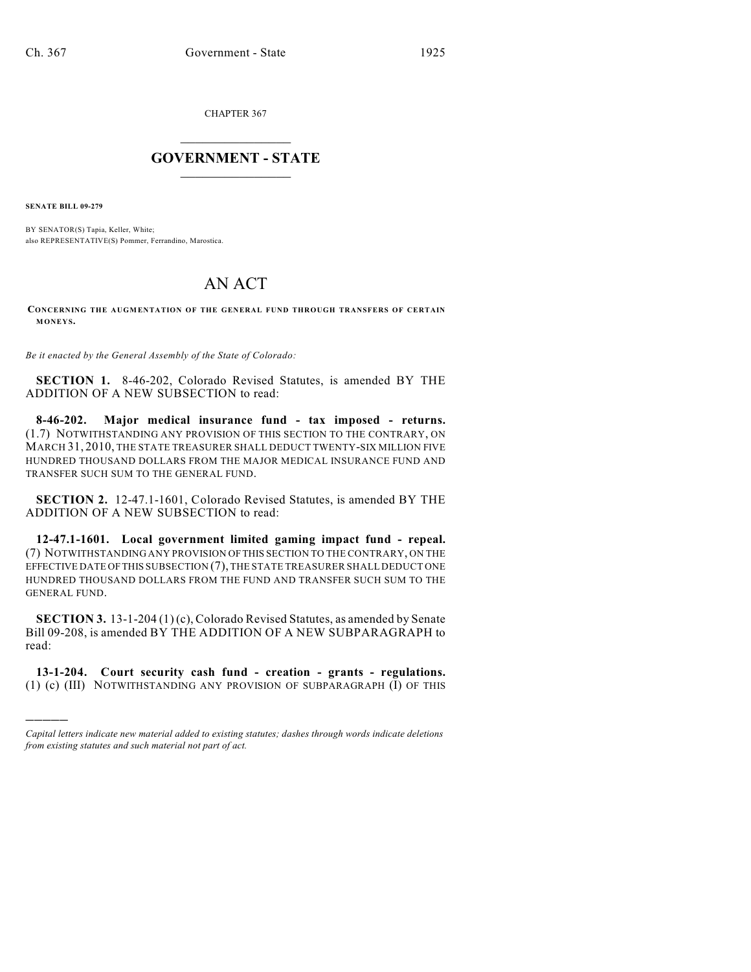CHAPTER 367

## $\overline{\phantom{a}}$  . The set of the set of the set of the set of the set of the set of the set of the set of the set of the set of the set of the set of the set of the set of the set of the set of the set of the set of the set o **GOVERNMENT - STATE**  $\_$

**SENATE BILL 09-279**

)))))

BY SENATOR(S) Tapia, Keller, White; also REPRESENTATIVE(S) Pommer, Ferrandino, Marostica.

## AN ACT

**CONCERNING THE AUGMENTATION OF THE GENERAL FUND THROUGH TRANSFERS OF CERTAIN MONEYS.**

*Be it enacted by the General Assembly of the State of Colorado:*

**SECTION 1.** 8-46-202, Colorado Revised Statutes, is amended BY THE ADDITION OF A NEW SUBSECTION to read:

**8-46-202. Major medical insurance fund - tax imposed - returns.** (1.7) NOTWITHSTANDING ANY PROVISION OF THIS SECTION TO THE CONTRARY, ON MARCH 31, 2010, THE STATE TREASURER SHALL DEDUCT TWENTY-SIX MILLION FIVE HUNDRED THOUSAND DOLLARS FROM THE MAJOR MEDICAL INSURANCE FUND AND TRANSFER SUCH SUM TO THE GENERAL FUND.

**SECTION 2.** 12-47.1-1601, Colorado Revised Statutes, is amended BY THE ADDITION OF A NEW SUBSECTION to read:

**12-47.1-1601. Local government limited gaming impact fund - repeal.** (7) NOTWITHSTANDING ANY PROVISION OF THIS SECTION TO THE CONTRARY, ON THE EFFECTIVE DATE OF THIS SUBSECTION (7), THE STATE TREASURER SHALL DEDUCT ONE HUNDRED THOUSAND DOLLARS FROM THE FUND AND TRANSFER SUCH SUM TO THE GENERAL FUND.

**SECTION 3.** 13-1-204 (1) (c), Colorado Revised Statutes, as amended by Senate Bill 09-208, is amended BY THE ADDITION OF A NEW SUBPARAGRAPH to read:

**13-1-204. Court security cash fund - creation - grants - regulations.** (1) (c) (III) NOTWITHSTANDING ANY PROVISION OF SUBPARAGRAPH (I) OF THIS

*Capital letters indicate new material added to existing statutes; dashes through words indicate deletions from existing statutes and such material not part of act.*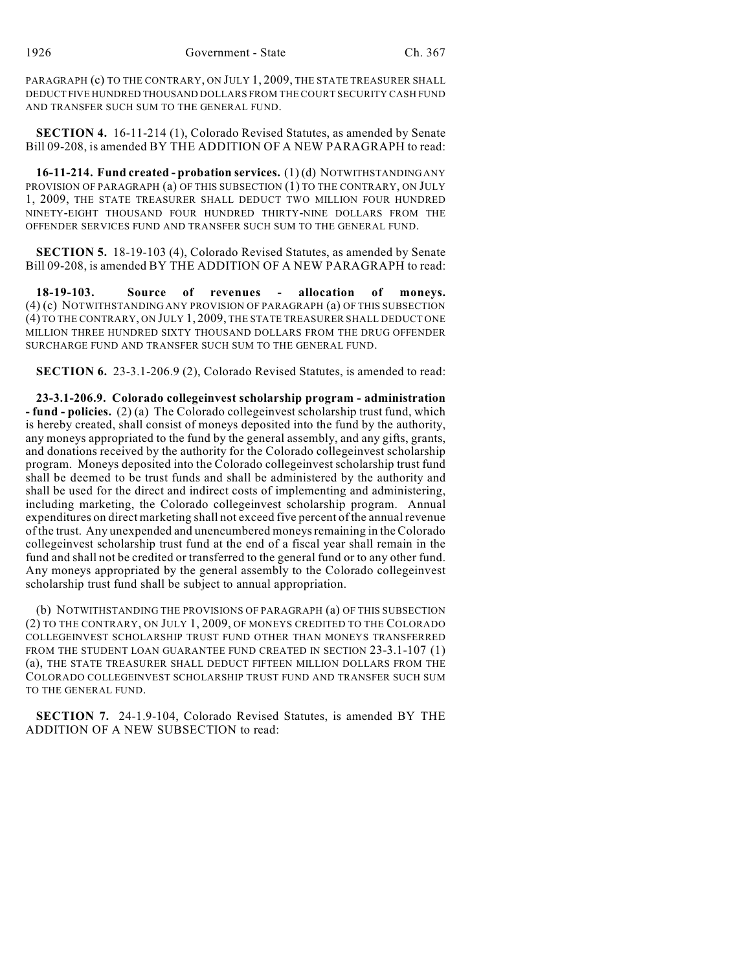PARAGRAPH (c) TO THE CONTRARY, ON JULY 1, 2009, THE STATE TREASURER SHALL DEDUCT FIVE HUNDRED THOUSAND DOLLARS FROM THE COURT SECURITY CASH FUND AND TRANSFER SUCH SUM TO THE GENERAL FUND.

**SECTION 4.** 16-11-214 (1), Colorado Revised Statutes, as amended by Senate Bill 09-208, is amended BY THE ADDITION OF A NEW PARAGRAPH to read:

**16-11-214. Fund created - probation services.** (1) (d) NOTWITHSTANDING ANY PROVISION OF PARAGRAPH (a) OF THIS SUBSECTION (1) TO THE CONTRARY, ON JULY 1, 2009, THE STATE TREASURER SHALL DEDUCT TWO MILLION FOUR HUNDRED NINETY-EIGHT THOUSAND FOUR HUNDRED THIRTY-NINE DOLLARS FROM THE OFFENDER SERVICES FUND AND TRANSFER SUCH SUM TO THE GENERAL FUND.

**SECTION 5.** 18-19-103 (4), Colorado Revised Statutes, as amended by Senate Bill 09-208, is amended BY THE ADDITION OF A NEW PARAGRAPH to read:

**18-19-103. Source of revenues - allocation of moneys.** (4) (c) NOTWITHSTANDING ANY PROVISION OF PARAGRAPH (a) OF THIS SUBSECTION (4) TO THE CONTRARY, ON JULY 1, 2009, THE STATE TREASURER SHALL DEDUCT ONE MILLION THREE HUNDRED SIXTY THOUSAND DOLLARS FROM THE DRUG OFFENDER SURCHARGE FUND AND TRANSFER SUCH SUM TO THE GENERAL FUND.

**SECTION 6.** 23-3.1-206.9 (2), Colorado Revised Statutes, is amended to read:

**23-3.1-206.9. Colorado collegeinvest scholarship program - administration - fund - policies.** (2) (a) The Colorado collegeinvest scholarship trust fund, which is hereby created, shall consist of moneys deposited into the fund by the authority, any moneys appropriated to the fund by the general assembly, and any gifts, grants, and donations received by the authority for the Colorado collegeinvest scholarship program. Moneys deposited into the Colorado collegeinvest scholarship trust fund shall be deemed to be trust funds and shall be administered by the authority and shall be used for the direct and indirect costs of implementing and administering, including marketing, the Colorado collegeinvest scholarship program. Annual expenditures on direct marketing shall not exceed five percent of the annual revenue of the trust. Any unexpended and unencumbered moneys remaining in the Colorado collegeinvest scholarship trust fund at the end of a fiscal year shall remain in the fund and shall not be credited or transferred to the general fund or to any other fund. Any moneys appropriated by the general assembly to the Colorado collegeinvest scholarship trust fund shall be subject to annual appropriation.

(b) NOTWITHSTANDING THE PROVISIONS OF PARAGRAPH (a) OF THIS SUBSECTION (2) TO THE CONTRARY, ON JULY 1, 2009, OF MONEYS CREDITED TO THE COLORADO COLLEGEINVEST SCHOLARSHIP TRUST FUND OTHER THAN MONEYS TRANSFERRED FROM THE STUDENT LOAN GUARANTEE FUND CREATED IN SECTION 23-3.1-107 (1) (a), THE STATE TREASURER SHALL DEDUCT FIFTEEN MILLION DOLLARS FROM THE COLORADO COLLEGEINVEST SCHOLARSHIP TRUST FUND AND TRANSFER SUCH SUM TO THE GENERAL FUND.

**SECTION 7.** 24-1.9-104, Colorado Revised Statutes, is amended BY THE ADDITION OF A NEW SUBSECTION to read: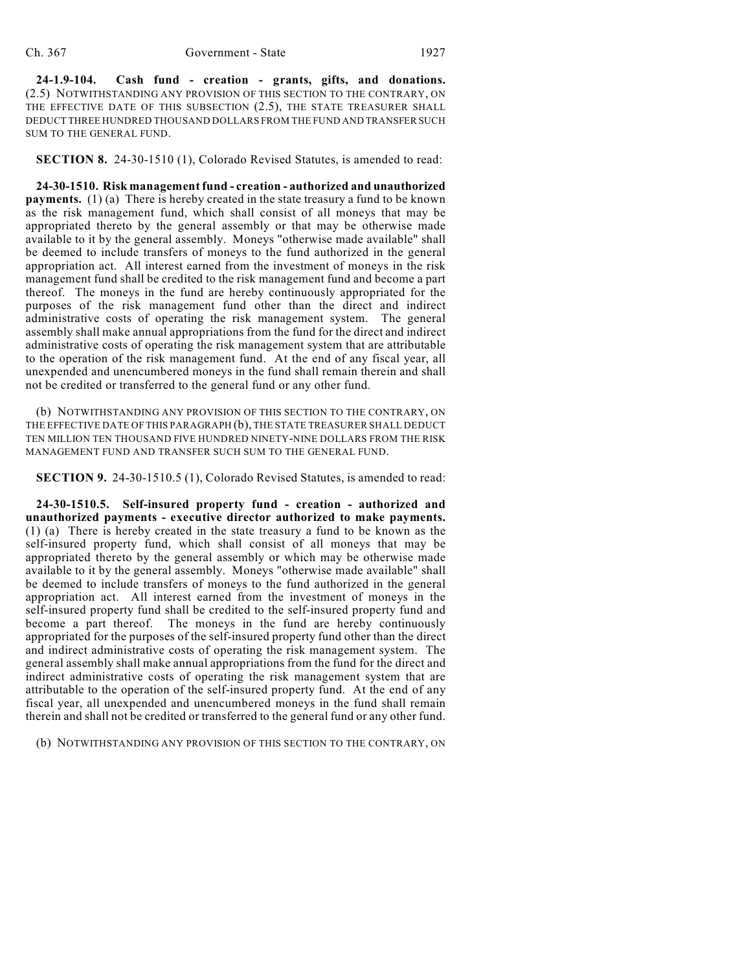**24-1.9-104. Cash fund - creation - grants, gifts, and donations.** (2.5) NOTWITHSTANDING ANY PROVISION OF THIS SECTION TO THE CONTRARY, ON THE EFFECTIVE DATE OF THIS SUBSECTION (2.5), THE STATE TREASURER SHALL DEDUCT THREE HUNDRED THOUSAND DOLLARS FROM THE FUND AND TRANSFER SUCH SUM TO THE GENERAL FUND.

**SECTION 8.** 24-30-1510 (1), Colorado Revised Statutes, is amended to read:

**24-30-1510. Risk management fund - creation - authorized and unauthorized payments.** (1) (a) There is hereby created in the state treasury a fund to be known as the risk management fund, which shall consist of all moneys that may be appropriated thereto by the general assembly or that may be otherwise made available to it by the general assembly. Moneys "otherwise made available" shall be deemed to include transfers of moneys to the fund authorized in the general appropriation act. All interest earned from the investment of moneys in the risk management fund shall be credited to the risk management fund and become a part thereof. The moneys in the fund are hereby continuously appropriated for the purposes of the risk management fund other than the direct and indirect administrative costs of operating the risk management system. The general assembly shall make annual appropriations from the fund for the direct and indirect administrative costs of operating the risk management system that are attributable to the operation of the risk management fund. At the end of any fiscal year, all unexpended and unencumbered moneys in the fund shall remain therein and shall not be credited or transferred to the general fund or any other fund.

(b) NOTWITHSTANDING ANY PROVISION OF THIS SECTION TO THE CONTRARY, ON THE EFFECTIVE DATE OF THIS PARAGRAPH (b), THE STATE TREASURER SHALL DEDUCT TEN MILLION TEN THOUSAND FIVE HUNDRED NINETY-NINE DOLLARS FROM THE RISK MANAGEMENT FUND AND TRANSFER SUCH SUM TO THE GENERAL FUND.

**SECTION 9.** 24-30-1510.5 (1), Colorado Revised Statutes, is amended to read:

**24-30-1510.5. Self-insured property fund - creation - authorized and unauthorized payments - executive director authorized to make payments.** (1) (a) There is hereby created in the state treasury a fund to be known as the self-insured property fund, which shall consist of all moneys that may be appropriated thereto by the general assembly or which may be otherwise made available to it by the general assembly. Moneys "otherwise made available" shall be deemed to include transfers of moneys to the fund authorized in the general appropriation act. All interest earned from the investment of moneys in the self-insured property fund shall be credited to the self-insured property fund and become a part thereof. The moneys in the fund are hereby continuously appropriated for the purposes of the self-insured property fund other than the direct and indirect administrative costs of operating the risk management system. The general assembly shall make annual appropriations from the fund for the direct and indirect administrative costs of operating the risk management system that are attributable to the operation of the self-insured property fund. At the end of any fiscal year, all unexpended and unencumbered moneys in the fund shall remain therein and shall not be credited or transferred to the general fund or any other fund.

(b) NOTWITHSTANDING ANY PROVISION OF THIS SECTION TO THE CONTRARY, ON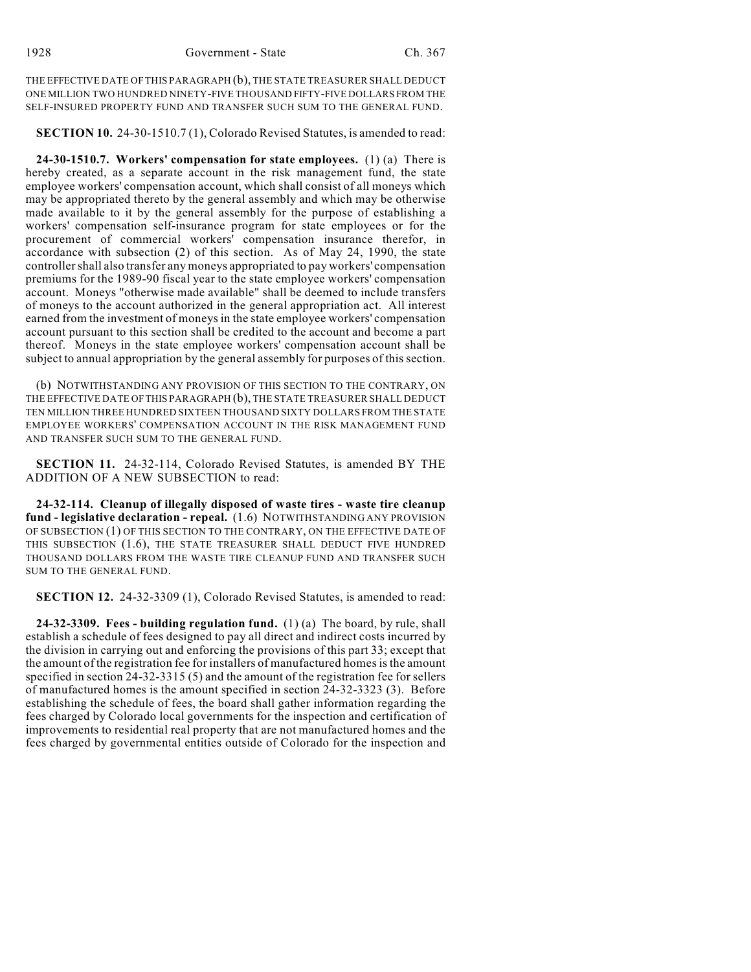THE EFFECTIVE DATE OF THIS PARAGRAPH (b), THE STATE TREASURER SHALL DEDUCT ONE MILLION TWO HUNDRED NINETY-FIVE THOUSAND FIFTY-FIVE DOLLARS FROM THE SELF-INSURED PROPERTY FUND AND TRANSFER SUCH SUM TO THE GENERAL FUND.

**SECTION 10.** 24-30-1510.7 (1), Colorado Revised Statutes, is amended to read:

**24-30-1510.7. Workers' compensation for state employees.** (1) (a) There is hereby created, as a separate account in the risk management fund, the state employee workers' compensation account, which shall consist of all moneys which may be appropriated thereto by the general assembly and which may be otherwise made available to it by the general assembly for the purpose of establishing a workers' compensation self-insurance program for state employees or for the procurement of commercial workers' compensation insurance therefor, in accordance with subsection (2) of this section. As of May 24, 1990, the state controller shall also transfer any moneys appropriated to pay workers' compensation premiums for the 1989-90 fiscal year to the state employee workers' compensation account. Moneys "otherwise made available" shall be deemed to include transfers of moneys to the account authorized in the general appropriation act. All interest earned from the investment of moneys in the state employee workers' compensation account pursuant to this section shall be credited to the account and become a part thereof. Moneys in the state employee workers' compensation account shall be subject to annual appropriation by the general assembly for purposes of this section.

(b) NOTWITHSTANDING ANY PROVISION OF THIS SECTION TO THE CONTRARY, ON THE EFFECTIVE DATE OF THIS PARAGRAPH (b), THE STATE TREASURER SHALL DEDUCT TEN MILLION THREE HUNDRED SIXTEEN THOUSAND SIXTY DOLLARS FROM THE STATE EMPLOYEE WORKERS' COMPENSATION ACCOUNT IN THE RISK MANAGEMENT FUND AND TRANSFER SUCH SUM TO THE GENERAL FUND.

**SECTION 11.** 24-32-114, Colorado Revised Statutes, is amended BY THE ADDITION OF A NEW SUBSECTION to read:

**24-32-114. Cleanup of illegally disposed of waste tires - waste tire cleanup fund - legislative declaration - repeal.** (1.6) NOTWITHSTANDING ANY PROVISION OF SUBSECTION (1) OF THIS SECTION TO THE CONTRARY, ON THE EFFECTIVE DATE OF THIS SUBSECTION (1.6), THE STATE TREASURER SHALL DEDUCT FIVE HUNDRED THOUSAND DOLLARS FROM THE WASTE TIRE CLEANUP FUND AND TRANSFER SUCH SUM TO THE GENERAL FUND.

**SECTION 12.** 24-32-3309 (1), Colorado Revised Statutes, is amended to read:

**24-32-3309. Fees - building regulation fund.** (1) (a) The board, by rule, shall establish a schedule of fees designed to pay all direct and indirect costs incurred by the division in carrying out and enforcing the provisions of this part 33; except that the amount of the registration fee for installers of manufactured homes is the amount specified in section 24-32-3315 (5) and the amount of the registration fee for sellers of manufactured homes is the amount specified in section 24-32-3323 (3). Before establishing the schedule of fees, the board shall gather information regarding the fees charged by Colorado local governments for the inspection and certification of improvements to residential real property that are not manufactured homes and the fees charged by governmental entities outside of Colorado for the inspection and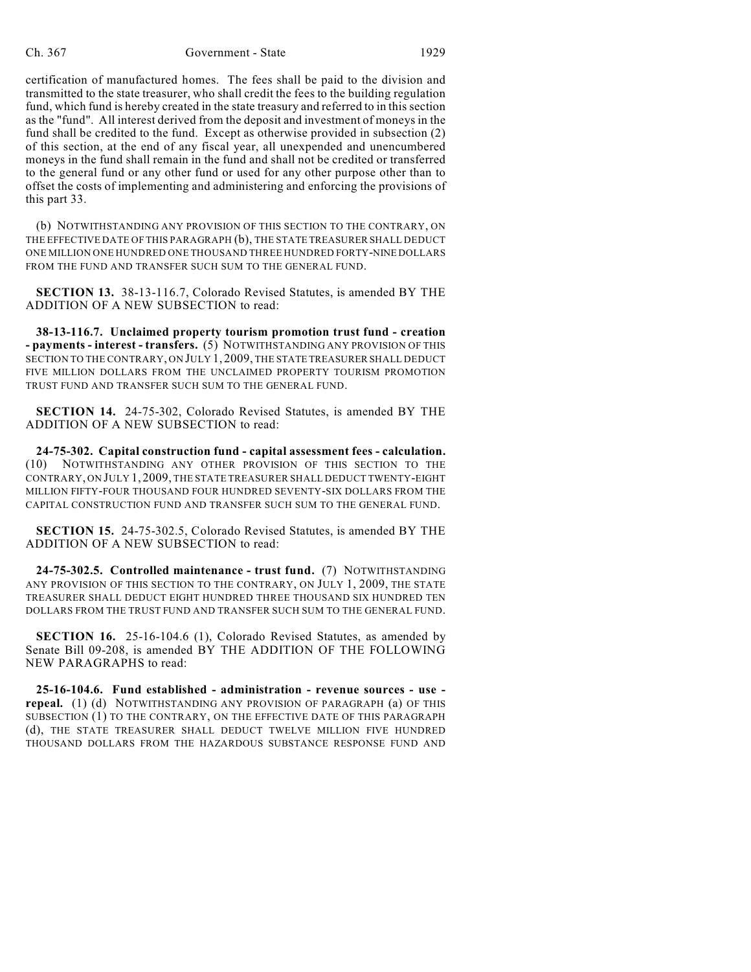certification of manufactured homes. The fees shall be paid to the division and transmitted to the state treasurer, who shall credit the fees to the building regulation fund, which fund is hereby created in the state treasury and referred to in this section as the "fund". All interest derived from the deposit and investment of moneys in the fund shall be credited to the fund. Except as otherwise provided in subsection (2) of this section, at the end of any fiscal year, all unexpended and unencumbered moneys in the fund shall remain in the fund and shall not be credited or transferred to the general fund or any other fund or used for any other purpose other than to offset the costs of implementing and administering and enforcing the provisions of this part 33.

(b) NOTWITHSTANDING ANY PROVISION OF THIS SECTION TO THE CONTRARY, ON THE EFFECTIVE DATE OF THIS PARAGRAPH (b), THE STATE TREASURER SHALL DEDUCT ONE MILLION ONE HUNDRED ONE THOUSAND THREE HUNDRED FORTY-NINE DOLLARS FROM THE FUND AND TRANSFER SUCH SUM TO THE GENERAL FUND.

**SECTION 13.** 38-13-116.7, Colorado Revised Statutes, is amended BY THE ADDITION OF A NEW SUBSECTION to read:

**38-13-116.7. Unclaimed property tourism promotion trust fund - creation - payments - interest - transfers.** (5) NOTWITHSTANDING ANY PROVISION OF THIS SECTION TO THE CONTRARY, ON JULY 1, 2009, THE STATE TREASURER SHALL DEDUCT FIVE MILLION DOLLARS FROM THE UNCLAIMED PROPERTY TOURISM PROMOTION TRUST FUND AND TRANSFER SUCH SUM TO THE GENERAL FUND.

**SECTION 14.** 24-75-302, Colorado Revised Statutes, is amended BY THE ADDITION OF A NEW SUBSECTION to read:

**24-75-302. Capital construction fund - capital assessment fees - calculation.** (10) NOTWITHSTANDING ANY OTHER PROVISION OF THIS SECTION TO THE CONTRARY, ON JULY 1, 2009, THE STATE TREASURER SHALL DEDUCT TWENTY-EIGHT MILLION FIFTY-FOUR THOUSAND FOUR HUNDRED SEVENTY-SIX DOLLARS FROM THE CAPITAL CONSTRUCTION FUND AND TRANSFER SUCH SUM TO THE GENERAL FUND.

**SECTION 15.** 24-75-302.5, Colorado Revised Statutes, is amended BY THE ADDITION OF A NEW SUBSECTION to read:

**24-75-302.5. Controlled maintenance - trust fund.** (7) NOTWITHSTANDING ANY PROVISION OF THIS SECTION TO THE CONTRARY, ON JULY 1, 2009, THE STATE TREASURER SHALL DEDUCT EIGHT HUNDRED THREE THOUSAND SIX HUNDRED TEN DOLLARS FROM THE TRUST FUND AND TRANSFER SUCH SUM TO THE GENERAL FUND.

**SECTION 16.** 25-16-104.6 (1), Colorado Revised Statutes, as amended by Senate Bill 09-208, is amended BY THE ADDITION OF THE FOLLOWING NEW PARAGRAPHS to read:

**25-16-104.6. Fund established - administration - revenue sources - use repeal.** (1) (d) NOTWITHSTANDING ANY PROVISION OF PARAGRAPH (a) OF THIS SUBSECTION (1) TO THE CONTRARY, ON THE EFFECTIVE DATE OF THIS PARAGRAPH (d), THE STATE TREASURER SHALL DEDUCT TWELVE MILLION FIVE HUNDRED THOUSAND DOLLARS FROM THE HAZARDOUS SUBSTANCE RESPONSE FUND AND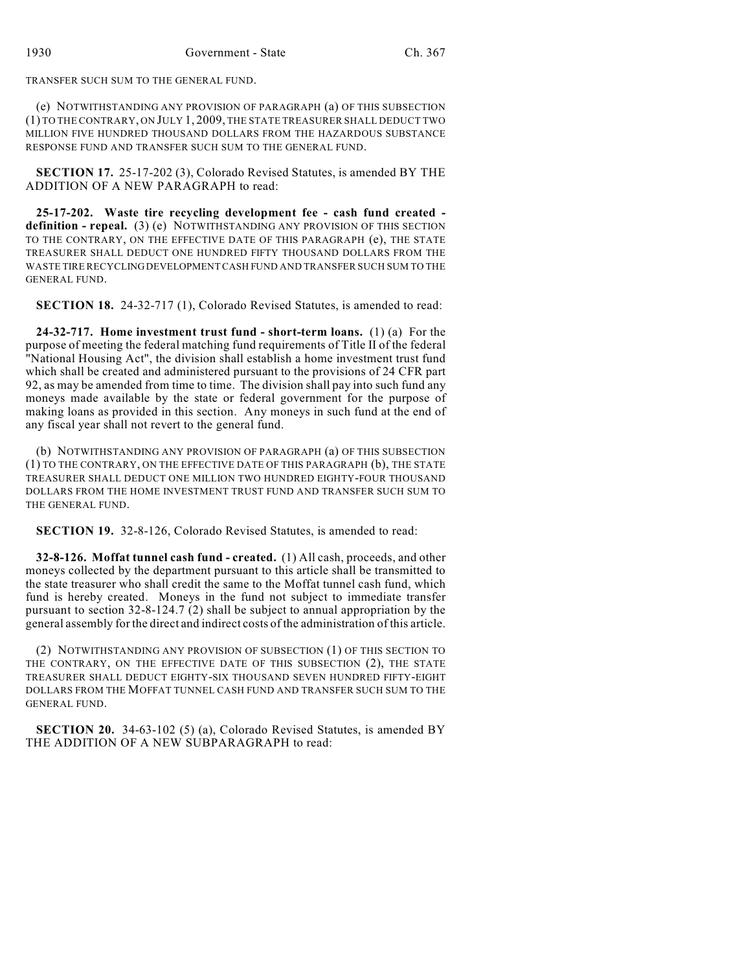TRANSFER SUCH SUM TO THE GENERAL FUND.

(e) NOTWITHSTANDING ANY PROVISION OF PARAGRAPH (a) OF THIS SUBSECTION (1) TO THE CONTRARY, ON JULY 1, 2009, THE STATE TREASURER SHALL DEDUCT TWO MILLION FIVE HUNDRED THOUSAND DOLLARS FROM THE HAZARDOUS SUBSTANCE RESPONSE FUND AND TRANSFER SUCH SUM TO THE GENERAL FUND.

**SECTION 17.** 25-17-202 (3), Colorado Revised Statutes, is amended BY THE ADDITION OF A NEW PARAGRAPH to read:

**25-17-202. Waste tire recycling development fee - cash fund created definition - repeal.** (3) (e) NOTWITHSTANDING ANY PROVISION OF THIS SECTION TO THE CONTRARY, ON THE EFFECTIVE DATE OF THIS PARAGRAPH (e), THE STATE TREASURER SHALL DEDUCT ONE HUNDRED FIFTY THOUSAND DOLLARS FROM THE WASTE TIRE RECYCLING DEVELOPMENT CASH FUND AND TRANSFER SUCH SUM TO THE GENERAL FUND.

**SECTION 18.** 24-32-717 (1), Colorado Revised Statutes, is amended to read:

**24-32-717. Home investment trust fund - short-term loans.** (1) (a) For the purpose of meeting the federal matching fund requirements of Title II of the federal "National Housing Act", the division shall establish a home investment trust fund which shall be created and administered pursuant to the provisions of 24 CFR part 92, as may be amended from time to time. The division shall pay into such fund any moneys made available by the state or federal government for the purpose of making loans as provided in this section. Any moneys in such fund at the end of any fiscal year shall not revert to the general fund.

(b) NOTWITHSTANDING ANY PROVISION OF PARAGRAPH (a) OF THIS SUBSECTION (1) TO THE CONTRARY, ON THE EFFECTIVE DATE OF THIS PARAGRAPH (b), THE STATE TREASURER SHALL DEDUCT ONE MILLION TWO HUNDRED EIGHTY-FOUR THOUSAND DOLLARS FROM THE HOME INVESTMENT TRUST FUND AND TRANSFER SUCH SUM TO THE GENERAL FUND.

**SECTION 19.** 32-8-126, Colorado Revised Statutes, is amended to read:

**32-8-126. Moffat tunnel cash fund - created.** (1) All cash, proceeds, and other moneys collected by the department pursuant to this article shall be transmitted to the state treasurer who shall credit the same to the Moffat tunnel cash fund, which fund is hereby created. Moneys in the fund not subject to immediate transfer pursuant to section 32-8-124.7 (2) shall be subject to annual appropriation by the general assembly for the direct and indirect costs of the administration of this article.

(2) NOTWITHSTANDING ANY PROVISION OF SUBSECTION (1) OF THIS SECTION TO THE CONTRARY, ON THE EFFECTIVE DATE OF THIS SUBSECTION (2), THE STATE TREASURER SHALL DEDUCT EIGHTY-SIX THOUSAND SEVEN HUNDRED FIFTY-EIGHT DOLLARS FROM THE MOFFAT TUNNEL CASH FUND AND TRANSFER SUCH SUM TO THE GENERAL FUND.

**SECTION 20.** 34-63-102 (5) (a), Colorado Revised Statutes, is amended BY THE ADDITION OF A NEW SUBPARAGRAPH to read: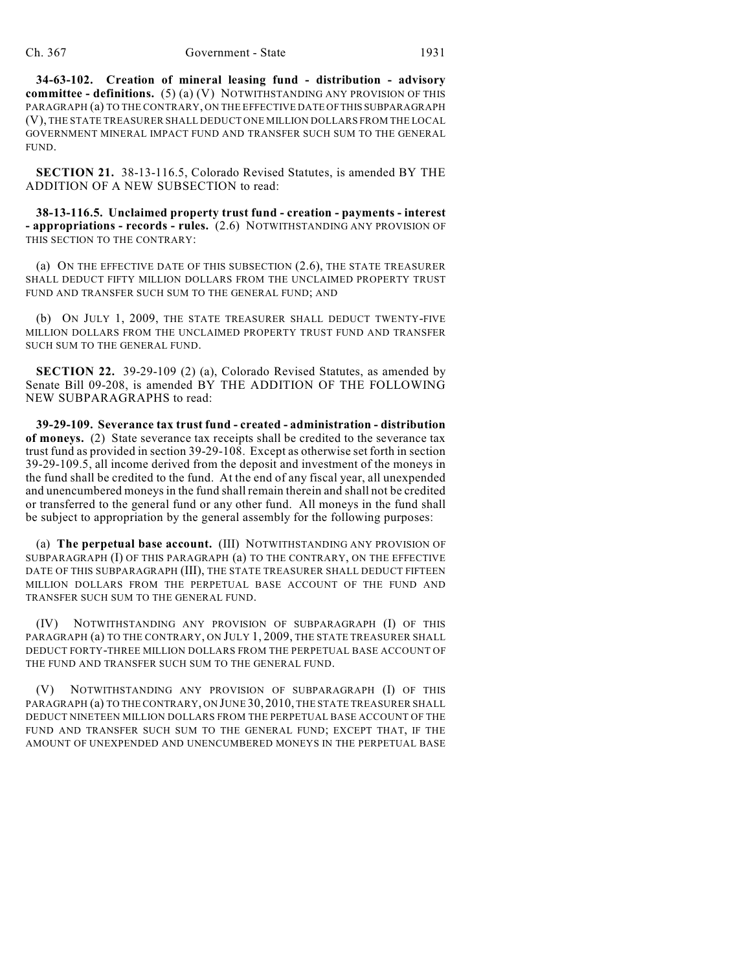**34-63-102. Creation of mineral leasing fund - distribution - advisory committee - definitions.** (5) (a) (V) NOTWITHSTANDING ANY PROVISION OF THIS PARAGRAPH (a) TO THE CONTRARY, ON THE EFFECTIVE DATE OF THIS SUBPARAGRAPH (V), THE STATE TREASURER SHALL DEDUCT ONE MILLION DOLLARS FROM THE LOCAL GOVERNMENT MINERAL IMPACT FUND AND TRANSFER SUCH SUM TO THE GENERAL FUND.

**SECTION 21.** 38-13-116.5, Colorado Revised Statutes, is amended BY THE ADDITION OF A NEW SUBSECTION to read:

**38-13-116.5. Unclaimed property trust fund - creation - payments - interest - appropriations - records - rules.** (2.6) NOTWITHSTANDING ANY PROVISION OF THIS SECTION TO THE CONTRARY:

(a) ON THE EFFECTIVE DATE OF THIS SUBSECTION (2.6), THE STATE TREASURER SHALL DEDUCT FIFTY MILLION DOLLARS FROM THE UNCLAIMED PROPERTY TRUST FUND AND TRANSFER SUCH SUM TO THE GENERAL FUND; AND

(b) ON JULY 1, 2009, THE STATE TREASURER SHALL DEDUCT TWENTY-FIVE MILLION DOLLARS FROM THE UNCLAIMED PROPERTY TRUST FUND AND TRANSFER SUCH SUM TO THE GENERAL FUND.

**SECTION 22.** 39-29-109 (2) (a), Colorado Revised Statutes, as amended by Senate Bill 09-208, is amended BY THE ADDITION OF THE FOLLOWING NEW SUBPARAGRAPHS to read:

**39-29-109. Severance tax trust fund - created - administration - distribution of moneys.** (2) State severance tax receipts shall be credited to the severance tax trust fund as provided in section 39-29-108. Except as otherwise set forth in section 39-29-109.5, all income derived from the deposit and investment of the moneys in the fund shall be credited to the fund. At the end of any fiscal year, all unexpended and unencumbered moneys in the fund shall remain therein and shall not be credited or transferred to the general fund or any other fund. All moneys in the fund shall be subject to appropriation by the general assembly for the following purposes:

(a) **The perpetual base account.** (III) NOTWITHSTANDING ANY PROVISION OF SUBPARAGRAPH (I) OF THIS PARAGRAPH (a) TO THE CONTRARY, ON THE EFFECTIVE DATE OF THIS SUBPARAGRAPH (III), THE STATE TREASURER SHALL DEDUCT FIFTEEN MILLION DOLLARS FROM THE PERPETUAL BASE ACCOUNT OF THE FUND AND TRANSFER SUCH SUM TO THE GENERAL FUND.

(IV) NOTWITHSTANDING ANY PROVISION OF SUBPARAGRAPH (I) OF THIS PARAGRAPH (a) TO THE CONTRARY, ON JULY 1, 2009, THE STATE TREASURER SHALL DEDUCT FORTY-THREE MILLION DOLLARS FROM THE PERPETUAL BASE ACCOUNT OF THE FUND AND TRANSFER SUCH SUM TO THE GENERAL FUND.

(V) NOTWITHSTANDING ANY PROVISION OF SUBPARAGRAPH (I) OF THIS PARAGRAPH (a) TO THE CONTRARY, ON JUNE 30, 2010, THE STATE TREASURER SHALL DEDUCT NINETEEN MILLION DOLLARS FROM THE PERPETUAL BASE ACCOUNT OF THE FUND AND TRANSFER SUCH SUM TO THE GENERAL FUND; EXCEPT THAT, IF THE AMOUNT OF UNEXPENDED AND UNENCUMBERED MONEYS IN THE PERPETUAL BASE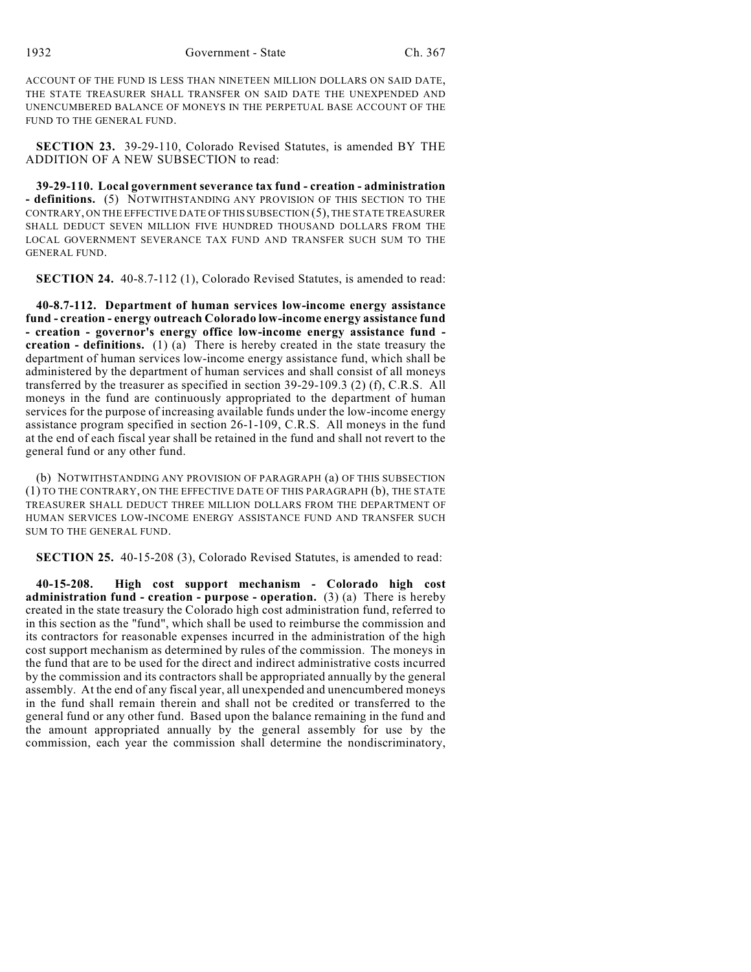ACCOUNT OF THE FUND IS LESS THAN NINETEEN MILLION DOLLARS ON SAID DATE, THE STATE TREASURER SHALL TRANSFER ON SAID DATE THE UNEXPENDED AND UNENCUMBERED BALANCE OF MONEYS IN THE PERPETUAL BASE ACCOUNT OF THE FUND TO THE GENERAL FUND.

**SECTION 23.** 39-29-110, Colorado Revised Statutes, is amended BY THE ADDITION OF A NEW SUBSECTION to read:

**39-29-110. Local government severance tax fund - creation - administration - definitions.** (5) NOTWITHSTANDING ANY PROVISION OF THIS SECTION TO THE CONTRARY, ON THE EFFECTIVE DATE OF THIS SUBSECTION (5), THE STATE TREASURER SHALL DEDUCT SEVEN MILLION FIVE HUNDRED THOUSAND DOLLARS FROM THE LOCAL GOVERNMENT SEVERANCE TAX FUND AND TRANSFER SUCH SUM TO THE GENERAL FUND.

**SECTION 24.** 40-8.7-112 (1), Colorado Revised Statutes, is amended to read:

**40-8.7-112. Department of human services low-income energy assistance fund - creation - energy outreach Colorado low-income energy assistance fund - creation - governor's energy office low-income energy assistance fund creation - definitions.** (1) (a) There is hereby created in the state treasury the department of human services low-income energy assistance fund, which shall be administered by the department of human services and shall consist of all moneys transferred by the treasurer as specified in section 39-29-109.3 (2) (f), C.R.S. All moneys in the fund are continuously appropriated to the department of human services for the purpose of increasing available funds under the low-income energy assistance program specified in section 26-1-109, C.R.S. All moneys in the fund at the end of each fiscal year shall be retained in the fund and shall not revert to the general fund or any other fund.

(b) NOTWITHSTANDING ANY PROVISION OF PARAGRAPH (a) OF THIS SUBSECTION (1) TO THE CONTRARY, ON THE EFFECTIVE DATE OF THIS PARAGRAPH (b), THE STATE TREASURER SHALL DEDUCT THREE MILLION DOLLARS FROM THE DEPARTMENT OF HUMAN SERVICES LOW-INCOME ENERGY ASSISTANCE FUND AND TRANSFER SUCH SUM TO THE GENERAL FUND.

**SECTION 25.** 40-15-208 (3), Colorado Revised Statutes, is amended to read:

**40-15-208. High cost support mechanism - Colorado high cost administration fund - creation - purpose - operation.** (3) (a) There is hereby created in the state treasury the Colorado high cost administration fund, referred to in this section as the "fund", which shall be used to reimburse the commission and its contractors for reasonable expenses incurred in the administration of the high cost support mechanism as determined by rules of the commission. The moneys in the fund that are to be used for the direct and indirect administrative costs incurred by the commission and its contractors shall be appropriated annually by the general assembly. At the end of any fiscal year, all unexpended and unencumbered moneys in the fund shall remain therein and shall not be credited or transferred to the general fund or any other fund. Based upon the balance remaining in the fund and the amount appropriated annually by the general assembly for use by the commission, each year the commission shall determine the nondiscriminatory,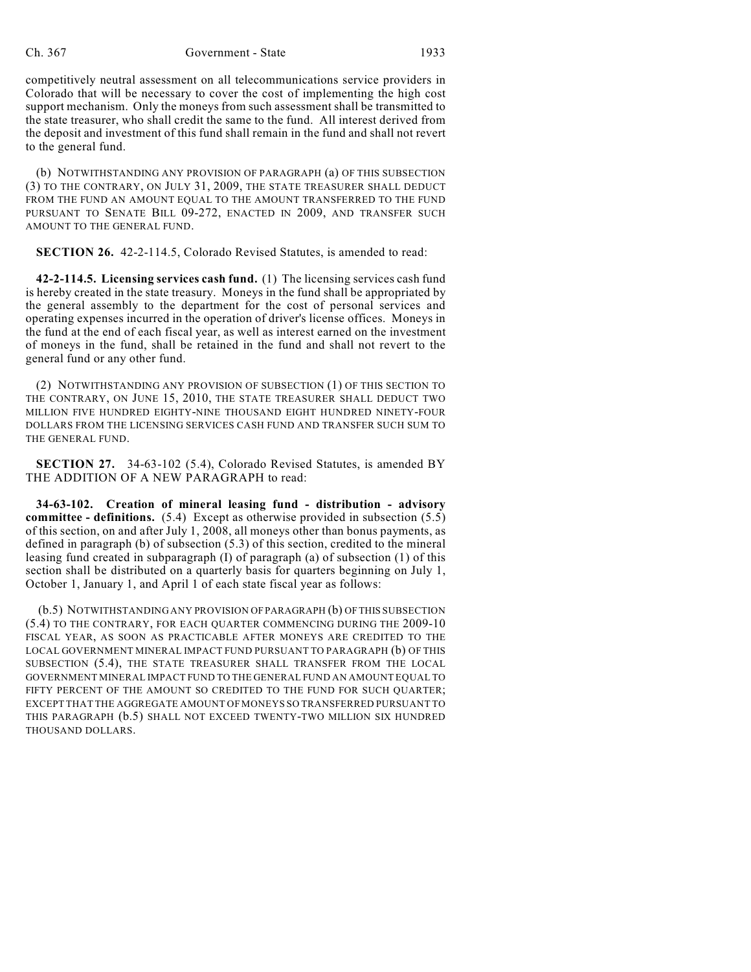competitively neutral assessment on all telecommunications service providers in Colorado that will be necessary to cover the cost of implementing the high cost support mechanism. Only the moneys from such assessment shall be transmitted to the state treasurer, who shall credit the same to the fund. All interest derived from the deposit and investment of this fund shall remain in the fund and shall not revert to the general fund.

(b) NOTWITHSTANDING ANY PROVISION OF PARAGRAPH (a) OF THIS SUBSECTION (3) TO THE CONTRARY, ON JULY 31, 2009, THE STATE TREASURER SHALL DEDUCT FROM THE FUND AN AMOUNT EQUAL TO THE AMOUNT TRANSFERRED TO THE FUND PURSUANT TO SENATE BILL 09-272, ENACTED IN 2009, AND TRANSFER SUCH AMOUNT TO THE GENERAL FUND.

**SECTION 26.** 42-2-114.5, Colorado Revised Statutes, is amended to read:

**42-2-114.5. Licensing services cash fund.** (1) The licensing services cash fund is hereby created in the state treasury. Moneys in the fund shall be appropriated by the general assembly to the department for the cost of personal services and operating expenses incurred in the operation of driver's license offices. Moneys in the fund at the end of each fiscal year, as well as interest earned on the investment of moneys in the fund, shall be retained in the fund and shall not revert to the general fund or any other fund.

(2) NOTWITHSTANDING ANY PROVISION OF SUBSECTION (1) OF THIS SECTION TO THE CONTRARY, ON JUNE 15, 2010, THE STATE TREASURER SHALL DEDUCT TWO MILLION FIVE HUNDRED EIGHTY-NINE THOUSAND EIGHT HUNDRED NINETY-FOUR DOLLARS FROM THE LICENSING SERVICES CASH FUND AND TRANSFER SUCH SUM TO THE GENERAL FUND.

**SECTION 27.** 34-63-102 (5.4), Colorado Revised Statutes, is amended BY THE ADDITION OF A NEW PARAGRAPH to read:

**34-63-102. Creation of mineral leasing fund - distribution - advisory committee - definitions.** (5.4) Except as otherwise provided in subsection (5.5) of this section, on and after July 1, 2008, all moneys other than bonus payments, as defined in paragraph (b) of subsection (5.3) of this section, credited to the mineral leasing fund created in subparagraph (I) of paragraph (a) of subsection (1) of this section shall be distributed on a quarterly basis for quarters beginning on July 1, October 1, January 1, and April 1 of each state fiscal year as follows:

 (b.5) NOTWITHSTANDING ANY PROVISION OF PARAGRAPH (b) OF THIS SUBSECTION (5.4) TO THE CONTRARY, FOR EACH QUARTER COMMENCING DURING THE 2009-10 FISCAL YEAR, AS SOON AS PRACTICABLE AFTER MONEYS ARE CREDITED TO THE LOCAL GOVERNMENT MINERAL IMPACT FUND PURSUANT TO PARAGRAPH (b) OF THIS SUBSECTION (5.4), THE STATE TREASURER SHALL TRANSFER FROM THE LOCAL GOVERNMENT MINERAL IMPACT FUND TO THE GENERAL FUND AN AMOUNT EQUAL TO FIFTY PERCENT OF THE AMOUNT SO CREDITED TO THE FUND FOR SUCH QUARTER; EXCEPT THAT THE AGGREGATE AMOUNT OF MONEYS SO TRANSFERRED PURSUANT TO THIS PARAGRAPH (b.5) SHALL NOT EXCEED TWENTY-TWO MILLION SIX HUNDRED THOUSAND DOLLARS.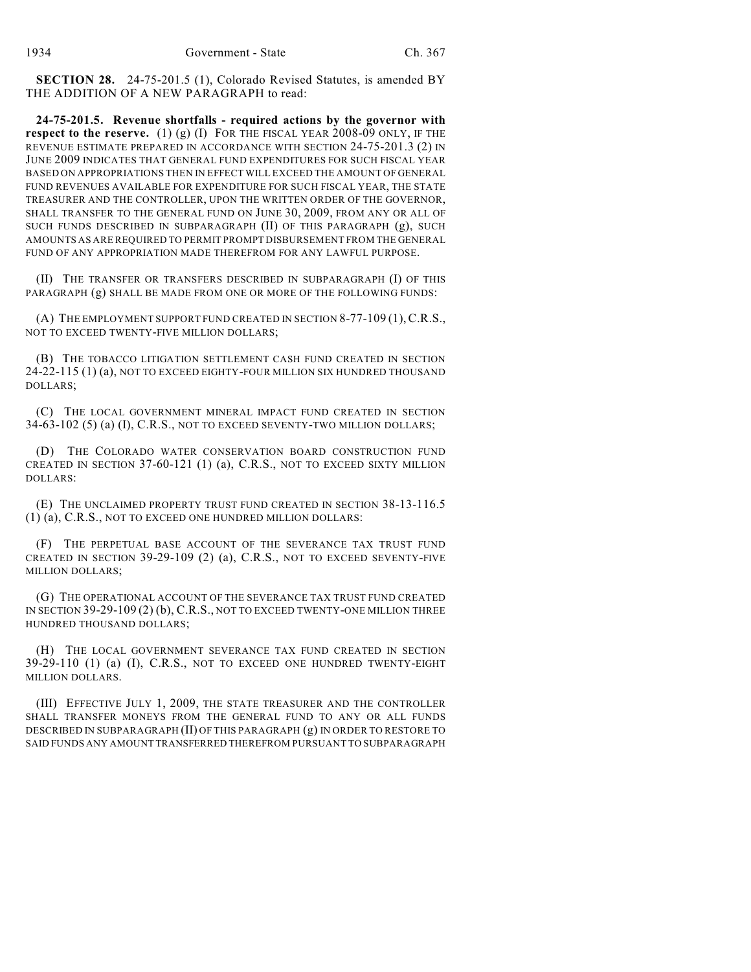**SECTION 28.** 24-75-201.5 (1), Colorado Revised Statutes, is amended BY THE ADDITION OF A NEW PARAGRAPH to read:

**24-75-201.5. Revenue shortfalls - required actions by the governor with respect to the reserve.** (1) (g) (I) FOR THE FISCAL YEAR 2008-09 ONLY, IF THE REVENUE ESTIMATE PREPARED IN ACCORDANCE WITH SECTION 24-75-201.3 (2) IN JUNE 2009 INDICATES THAT GENERAL FUND EXPENDITURES FOR SUCH FISCAL YEAR BASED ON APPROPRIATIONS THEN IN EFFECT WILL EXCEED THE AMOUNT OF GENERAL FUND REVENUES AVAILABLE FOR EXPENDITURE FOR SUCH FISCAL YEAR, THE STATE TREASURER AND THE CONTROLLER, UPON THE WRITTEN ORDER OF THE GOVERNOR, SHALL TRANSFER TO THE GENERAL FUND ON JUNE 30, 2009, FROM ANY OR ALL OF SUCH FUNDS DESCRIBED IN SUBPARAGRAPH (II) OF THIS PARAGRAPH (g), SUCH AMOUNTS AS ARE REQUIRED TO PERMIT PROMPT DISBURSEMENT FROM THE GENERAL FUND OF ANY APPROPRIATION MADE THEREFROM FOR ANY LAWFUL PURPOSE.

(II) THE TRANSFER OR TRANSFERS DESCRIBED IN SUBPARAGRAPH (I) OF THIS PARAGRAPH (g) SHALL BE MADE FROM ONE OR MORE OF THE FOLLOWING FUNDS:

(A) THE EMPLOYMENT SUPPORT FUND CREATED IN SECTION 8-77-109 (1),C.R.S., NOT TO EXCEED TWENTY-FIVE MILLION DOLLARS;

(B) THE TOBACCO LITIGATION SETTLEMENT CASH FUND CREATED IN SECTION 24-22-115 (1) (a), NOT TO EXCEED EIGHTY-FOUR MILLION SIX HUNDRED THOUSAND DOLLARS;

(C) THE LOCAL GOVERNMENT MINERAL IMPACT FUND CREATED IN SECTION 34-63-102 (5) (a) (I), C.R.S., NOT TO EXCEED SEVENTY-TWO MILLION DOLLARS;

(D) THE COLORADO WATER CONSERVATION BOARD CONSTRUCTION FUND CREATED IN SECTION 37-60-121 (1) (a), C.R.S., NOT TO EXCEED SIXTY MILLION DOLLARS:

(E) THE UNCLAIMED PROPERTY TRUST FUND CREATED IN SECTION 38-13-116.5 (1) (a), C.R.S., NOT TO EXCEED ONE HUNDRED MILLION DOLLARS:

(F) THE PERPETUAL BASE ACCOUNT OF THE SEVERANCE TAX TRUST FUND CREATED IN SECTION 39-29-109 (2) (a), C.R.S., NOT TO EXCEED SEVENTY-FIVE MILLION DOLLARS;

(G) THE OPERATIONAL ACCOUNT OF THE SEVERANCE TAX TRUST FUND CREATED IN SECTION 39-29-109 (2) (b), C.R.S., NOT TO EXCEED TWENTY-ONE MILLION THREE HUNDRED THOUSAND DOLLARS;

(H) THE LOCAL GOVERNMENT SEVERANCE TAX FUND CREATED IN SECTION 39-29-110 (1) (a) (I), C.R.S., NOT TO EXCEED ONE HUNDRED TWENTY-EIGHT MILLION DOLLARS.

(III) EFFECTIVE JULY 1, 2009, THE STATE TREASURER AND THE CONTROLLER SHALL TRANSFER MONEYS FROM THE GENERAL FUND TO ANY OR ALL FUNDS DESCRIBED IN SUBPARAGRAPH (II) OF THIS PARAGRAPH (g) IN ORDER TO RESTORE TO SAID FUNDS ANY AMOUNT TRANSFERRED THEREFROM PURSUANT TO SUBPARAGRAPH